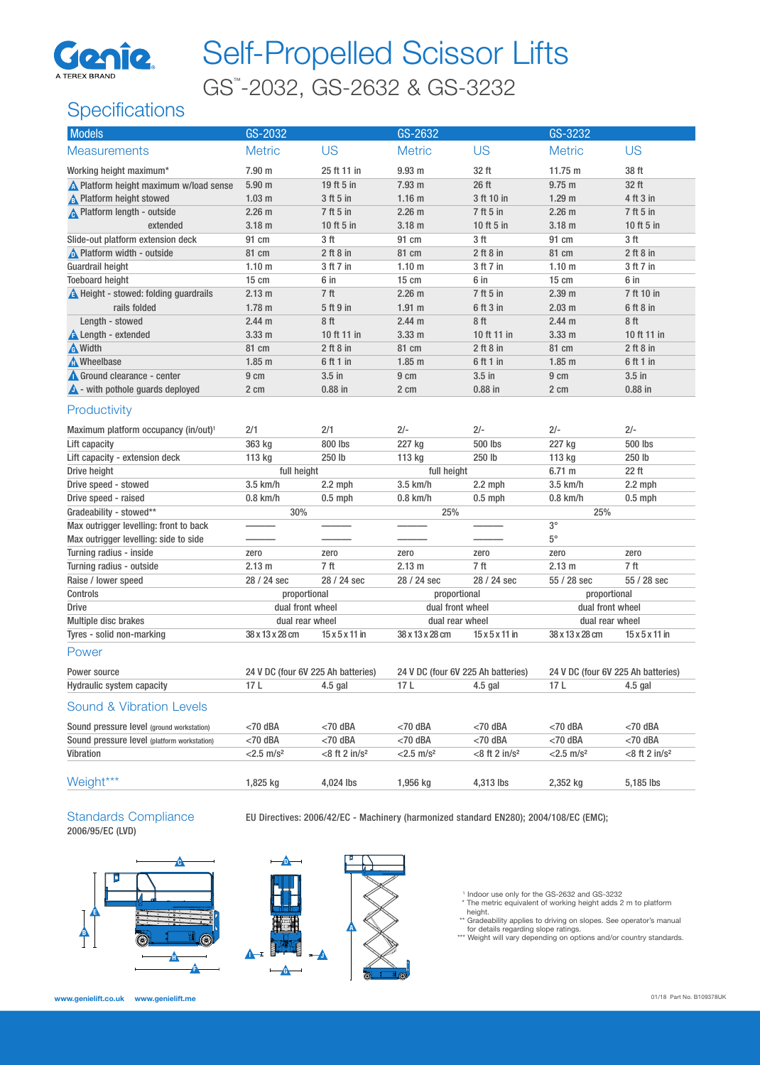

# Self-Propelled Scissor Lifts GS™ -2032, GS-2632 & GS-3232

## **Specifications**

| <b>Models</b>                                    | GS-2032                            |                             | GS-2632                            |                             | GS-3232                            |                             |
|--------------------------------------------------|------------------------------------|-----------------------------|------------------------------------|-----------------------------|------------------------------------|-----------------------------|
| <b>Measurements</b>                              | <b>Metric</b>                      | <b>US</b>                   | <b>Metric</b>                      | <b>US</b>                   | <b>Metric</b>                      | <b>US</b>                   |
| Working height maximum*                          | 7.90 m                             | 25 ft 11 in                 | 9.93 <sub>m</sub>                  | 32 ft                       | 11.75 m                            | 38 ft                       |
| Nelatform height maximum w/load sense            | 5.90 <sub>m</sub>                  | 19 ft 5 in                  | 7.93 m                             | 26 ft                       | $9.75$ m                           | 32 ft                       |
| <b>A</b> Platform height stowed                  | 1.03 <sub>m</sub>                  | 3 ft 5 in                   | 1.16 <sub>m</sub>                  | 3 ft 10 in                  | 1.29 <sub>m</sub>                  | 4 ft 3 in                   |
| <b>A</b> Platform length - outside               | 2.26 <sub>m</sub>                  | 7 ft 5 in                   | 2.26 m                             | 7 ft 5 in                   | 2.26 <sub>m</sub>                  | 7 ft 5 in                   |
| extended                                         | 3.18 <sub>m</sub>                  | 10 ft 5 in                  | 3.18 <sub>m</sub>                  | 10 ft 5 in                  | 3.18 <sub>m</sub>                  | 10 ft 5 in                  |
| Slide-out platform extension deck                | 91 cm                              | 3 <sub>ft</sub>             | 91 cm                              | 3 <sub>ft</sub>             | 91 cm                              | 3 <sub>ft</sub>             |
| <b>A</b> Platform width - outside                | 81 cm                              | $2$ ft $8$ in               | 81 cm                              | $2$ ft $8$ in               | 81 cm                              | $2$ ft $8$ in               |
| <b>Guardrail height</b>                          | 1.10 <sub>m</sub>                  | 3 ft 7 in                   | 1.10 <sub>m</sub>                  | 3 ft 7 in                   | 1.10 <sub>m</sub>                  | 3 ft 7 in                   |
| <b>Toeboard height</b>                           | $15 \text{ cm}$                    | 6 in                        | 15 cm                              | 6 in                        | 15 cm                              | 6 in                        |
| <b>A</b> Height - stowed: folding guardrails     | 2.13 m                             | 7 ft                        | 2.26 <sub>m</sub>                  | 7 ft 5 in                   | 2.39 <sub>m</sub>                  | 7 ft 10 in                  |
| rails folded                                     | 1.78 <sub>m</sub>                  | 5 ft 9 in                   | 1.91 m                             | 6 ft 3 in                   | 2.03 <sub>m</sub>                  | $6$ ft $8$ in               |
| Length - stowed                                  | 2.44 m                             | 8 ft                        | 2.44 m                             | 8ft                         | 2.44 m                             | 8ft                         |
| <b>A</b> Length - extended                       | 3.33 <sub>m</sub>                  | 10 ft 11 in                 | 3.33 <sub>m</sub>                  | 10 ft 11 in                 | 3.33 <sub>m</sub>                  | 10 ft 11 in                 |
| <b>A</b> Width                                   | 81 cm                              | $2$ ft $8$ in               | 81 cm                              | $2$ ft $8$ in               | 81 cm                              | $2$ ft $8$ in               |
| Mheelbase                                        | 1.85 <sub>m</sub>                  | 6 ft 1 in                   | 1.85 <sub>m</sub>                  | 6 ft 1 in                   | $1.85$ m                           | 6 ft 1 in                   |
| Ground clearance - center                        | 9 cm                               | $3.5$ in                    | 9 cm                               | $3.5$ in                    | 9 cm                               | $3.5$ in                    |
| $\triangle$ - with pothole guards deployed       | 2 cm                               | $0.88$ in                   | 2 cm                               | $0.88$ in                   | 2 cm                               | $0.88$ in                   |
| Productivity                                     |                                    |                             |                                    |                             |                                    |                             |
| Maximum platform occupancy (in/out) <sup>1</sup> | 2/1                                | 2/1                         | $2/-$                              | $2/-$                       | $2/-$                              | $2/-$                       |
| Lift capacity                                    | 363 kg                             | 800 lbs                     | 227 kg                             | 500 lbs                     | 227 kg                             | 500 lbs                     |
| Lift capacity - extension deck                   | 113 kg                             | 250 lb                      | 113 kg                             | 250 lb                      | 113 kg                             | 250 lb                      |
| Drive height                                     | full height                        |                             | full height                        |                             | 6.71 m                             | 22 ft                       |
| Drive speed - stowed                             | 3.5 km/h                           | $2.2$ mph                   | 3.5 km/h                           | $2.2$ mph                   | 3.5 km/h                           | $2.2$ mph                   |
| Drive speed - raised                             | $0.8$ km/h                         | $0.5$ mph                   | $0.8$ km/h                         | $0.5$ mph                   | $0.8$ km/h                         | $0.5$ mph                   |
| Gradeability - stowed**                          | 30%                                |                             | 25%                                |                             | 25%                                |                             |
| Max outrigger levelling: front to back           |                                    |                             |                                    |                             | $3^{\circ}$                        |                             |
| Max outrigger levelling: side to side            |                                    |                             |                                    |                             | $5^{\circ}$                        |                             |
| Turning radius - inside                          | zero                               | zero                        | zero                               | zero                        | zero                               | zero                        |
| Turning radius - outside                         | 2.13 m                             | 7 <sup>ft</sup>             | 2.13 m                             | 7 ft                        | 2.13 m                             | 7 ft                        |
| Raise / lower speed                              | 28 / 24 sec                        | 28 / 24 sec                 | 28 / 24 sec                        | 28 / 24 sec                 | 55 / 28 sec                        | 55 / 28 sec                 |
| Controls                                         | proportional                       |                             | proportional                       |                             | proportional                       |                             |
| Drive                                            | dual front wheel                   |                             | dual front wheel                   |                             | dual front wheel                   |                             |
| Multiple disc brakes                             | dual rear wheel                    |                             | dual rear wheel                    |                             | dual rear wheel                    |                             |
| Tyres - solid non-marking                        | 38 x 13 x 28 cm                    | $15 \times 5 \times 11$ in  | 38 x 13 x 28 cm                    | $15 \times 5 \times 11$ in  | 38 x 13 x 28 cm                    | $15 \times 5 \times 11$ in  |
| Power                                            |                                    |                             |                                    |                             |                                    |                             |
| Power source                                     | 24 V DC (four 6V 225 Ah batteries) |                             | 24 V DC (four 6V 225 Ah batteries) |                             | 24 V DC (four 6V 225 Ah batteries) |                             |
| Hydraulic system capacity                        | 17 L 4.5 gal                       |                             | 17L                                | $4.5$ gal                   | 17 L 4.5 gal                       |                             |
| <b>Sound &amp; Vibration Levels</b>              |                                    |                             |                                    |                             |                                    |                             |
| Sound pressure level (ground workstation)        | $<$ 70 dBA                         | $<$ 70 dBA                  | $<$ 70 dBA                         | $<$ 70 dBA                  | $<$ 70 dBA                         | $<$ 70 dBA                  |
| Sound pressure level (platform workstation)      | $<$ 70 dBA                         | $<$ 70 dBA                  | $<$ 70 dBA                         | $<$ 70 dBA                  | $<$ 70 dBA                         | $<$ 70 dBA                  |
| Vibration                                        | $<$ 2.5 m/s <sup>2</sup>           | $<8$ ft 2 in/s <sup>2</sup> | $<$ 2.5 m/s <sup>2</sup>           | $<8$ ft 2 in/s <sup>2</sup> | $<$ 2.5 m/s <sup>2</sup>           | $<8$ ft 2 in/s <sup>2</sup> |
|                                                  |                                    |                             |                                    |                             |                                    |                             |
| Weight***                                        | 1,825 kg                           | 4,024 lbs                   | 1,956 kg                           | 4,313 lbs                   | 2,352 kg                           | 5,185 lbs                   |
|                                                  |                                    |                             |                                    |                             |                                    |                             |

# 2006/95/EC (LVD)

Standards Compliance EU Directives: 2006/42/EC - Machinery (harmonized standard EN280); 2004/108/EC (EMC);





1 Indoor use only for the GS-2632 and GS-3232

 \* The metric equivalent of working height adds 2 m to platform height. \*\* Gradeability applies to driving on slopes. See operator's manual

for details regarding slope ratings. \*\*\* Weight will vary depending on options and/or country standards.